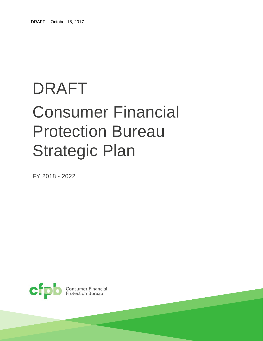# DRAFT Consumer Financial Protection Bureau Strategic Plan

FY 2018 - 2022



Consumer Financial<br>Protection Bureau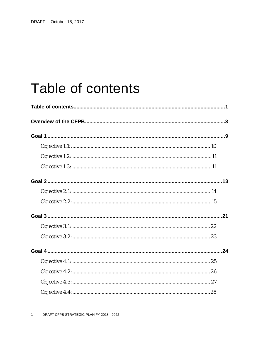## Table of contents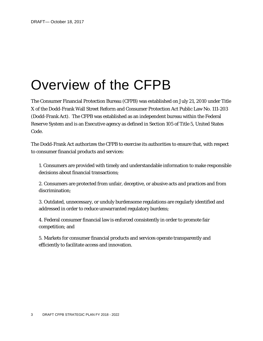## Overview of the CFPB

The Consumer Financial Protection Bureau (CFPB) was established on July 21, 2010 under Title X of the Dodd-Frank Wall Street Reform and Consumer Protection Act Public Law No. 111-203 (Dodd-Frank Act). The CFPB was established as an independent bureau within the Federal Reserve System and is an Executive agency as defined in Section 105 of Title 5, United States Code.

The Dodd-Frank Act authorizes the CFPB to exercise its authorities to ensure that, with respect to consumer financial products and services:

1. Consumers are provided with timely and understandable information to make responsible decisions about financial transactions;

2. Consumers are protected from unfair, deceptive, or abusive acts and practices and from discrimination;

3. Outdated, unnecessary, or unduly burdensome regulations are regularly identified and addressed in order to reduce unwarranted regulatory burdens;

4. Federal consumer financial law is enforced consistently in order to promote fair competition; and

5. Markets for consumer financial products and services operate transparently and efficiently to facilitate access and innovation.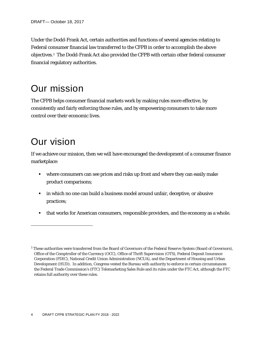Under the Dodd-Frank Act, certain authorities and functions of several agencies relating to Federal consumer financial law transferred to the CFPB in order to accomplish the above objectives.[1](#page-4-0) The Dodd-Frank Act also provided the CFPB with certain other federal consumer financial regulatory authorities.

### Our mission

The CFPB helps consumer financial markets work by making rules more effective, by consistently and fairly enforcing those rules, and by empowering consumers to take more control over their economic lives.

## Our vision

1

If we achieve our mission, then we will have encouraged the development of a consumer finance marketplace:

- where consumers can see prices and risks up front and where they can easily make product comparisons;
- **IX** in which no one can build a business model around unfair, deceptive, or abusive practices;
- that works for American consumers, responsible providers, and the economy as a whole.

<span id="page-4-0"></span><sup>&</sup>lt;sup>1</sup> These authorities were transferred from the Board of Governors of the Federal Reserve System (Board of Governors), Office of the Comptroller of the Currency (OCC), Office of Thrift Supervision (OTS), Federal Deposit Insurance Corporation (FDIC), National Credit Union Administration (NCUA), and the Department of Housing and Urban Development (HUD). In addition, Congress vested the Bureau with authority to enforce in certain circumstances the Federal Trade Commission's (FTC) Telemarketing Sales Rule and its rules under the FTC Act, although the FTC retains full authority over these rules.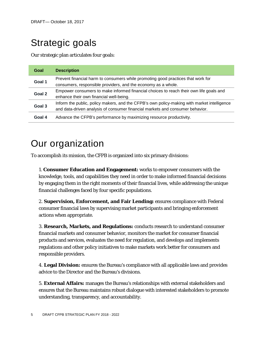## Strategic goals

Our strategic plan articulates four goals:

| Goal   | <b>Description</b>                                                                                                                                                           |  |
|--------|------------------------------------------------------------------------------------------------------------------------------------------------------------------------------|--|
| Goal 1 | Prevent financial harm to consumers while promoting good practices that work for<br>consumers, responsible providers, and the economy as a whole.                            |  |
| Goal 2 | Empower consumers to make informed financial choices to reach their own life goals and<br>enhance their own financial well-being.                                            |  |
| Goal 3 | Inform the public, policy makers, and the CFPB's own policy-making with market intelligence<br>and data-driven analysis of consumer financial markets and consumer behavior. |  |
| Goal 4 | Advance the CFPB's performance by maximizing resource productivity.                                                                                                          |  |

## Our organization

To accomplish its mission, the CFPB is organized into six primary divisions:

1. **Consumer Education and Engagement:** works to empower consumers with the knowledge, tools, and capabilities they need in order to make informed financial decisions by engaging them in the right moments of their financial lives, while addressing the unique financial challenges faced by four specific populations.

2. **Supervision, Enforcement, and Fair Lending:** ensures compliance with Federal consumer financial laws by supervising market participants and bringing enforcement actions when appropriate.

3. **Research, Markets, and Regulations:** conducts research to understand consumer financial markets and consumer behavior, monitors the market for consumer financial products and services, evaluates the need for regulation, and develops and implements regulations and other policy initiatives to make markets work better for consumers and responsible providers.

4. **Legal Division:** ensures the Bureau's compliance with all applicable laws and provides advice to the Director and the Bureau's divisions.

5. **External Affairs:** manages the Bureau's relationships with external stakeholders and ensures that the Bureau maintains robust dialogue with interested stakeholders to promote understanding, transparency, and accountability.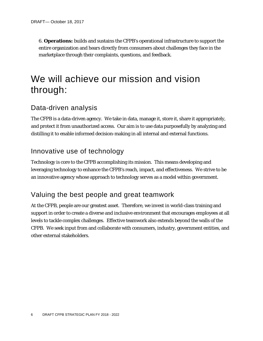6. **Operations:** builds and sustains the CFPB's operational infrastructure to support the entire organization and hears directly from consumers about challenges they face in the marketplace through their complaints, questions, and feedback.

## We will achieve our mission and vision through:

### Data-driven analysis

The CFPB is a data-driven agency. We take in data, manage it, store it, share it appropriately, and protect it from unauthorized access. Our aim is to use data purposefully by analyzing and distilling it to enable informed decision-making in all internal and external functions.

### Innovative use of technology

Technology is core to the CFPB accomplishing its mission. This means developing and leveraging technology to enhance the CFPB's reach, impact, and effectiveness. We strive to be an innovative agency whose approach to technology serves as a model within government.

### Valuing the best people and great teamwork

At the CFPB, people are our greatest asset. Therefore, we invest in world-class training and support in order to create a diverse and inclusive environment that encourages employees at all levels to tackle complex challenges. Effective teamwork also extends beyond the walls of the CFPB. We seek input from and collaborate with consumers, industry, government entities, and other external stakeholders.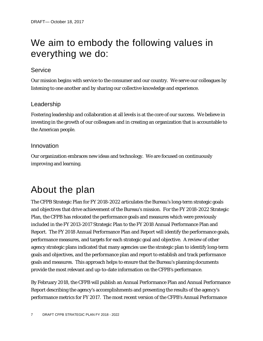## We aim to embody the following values in everything we do:

#### **Service**

Our mission begins with service to the consumer and our country. We serve our colleagues by listening to one another and by sharing our collective knowledge and experience.

#### Leadership

Fostering leadership and collaboration at all levels is at the core of our success. We believe in investing in the growth of our colleagues and in creating an organization that is accountable to the American people.

#### Innovation

Our organization embraces new ideas and technology. We are focused on continuously improving and learning.

## About the plan

The CFPB Strategic Plan for FY 2018-2022 articulates the Bureau's long-term strategic goals and objectives that drive achievement of the Bureau's mission. For the FY 2018-2022 Strategic Plan, the CFPB has relocated the performance goals and measures which were previously included in the FY 2013-2017 Strategic Plan to the FY 2018 Annual Performance Plan and Report. The FY 2018 Annual Performance Plan and Report will identify the performance goals, performance measures, and targets for each strategic goal and objective. A review of other agency strategic plans indicated that many agencies use the strategic plan to identify long-term goals and objectives, and the performance plan and report to establish and track performance goals and measures. This approach helps to ensure that the Bureau's planning documents provide the most relevant and up-to-date information on the CFPB's performance.

By February 2018, the CFPB will publish an Annual Performance Plan and Annual Performance Report describing the agency's accomplishments and presenting the results of the agency's performance metrics for FY 2017. The most recent version of the CFPB's Annual Performance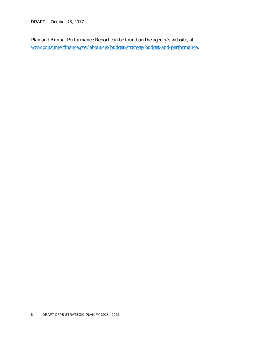DRAFT— October 18, 2017

Plan and Annual Performance Report can be found on the agency's website, at [www.consumerfinance.gov/about-us/budget-strategy/budget-and-performance.](http://www.consumerfinance.gov/about-us/budget-strategy/budget-and-performance)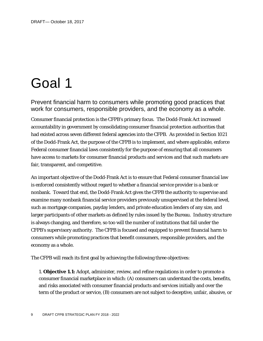## Goal 1

Prevent financial harm to consumers while promoting good practices that work for consumers, responsible providers, and the economy as a whole.

Consumer financial protection is the CFPB's primary focus. The Dodd-Frank Act increased accountability in government by consolidating consumer financial protection authorities that had existed across seven different federal agencies into the CFPB. As provided in Section 1021 of the Dodd-Frank Act, the purpose of the CFPB is to implement, and where applicable, enforce Federal consumer financial laws consistently for the purpose of ensuring that all consumers have access to markets for consumer financial products and services and that such markets are fair, transparent, and competitive.

An important objective of the Dodd-Frank Act is to ensure that Federal consumer financial law is enforced consistently without regard to whether a financial service provider is a bank or nonbank. Toward that end, the Dodd-Frank Act gives the CFPB the authority to supervise and examine many nonbank financial service providers previously unsupervised at the federal level, such as mortgage companies, payday lenders, and private education lenders of any size, and larger participants of other markets as defined by rules issued by the Bureau. Industry structure is always changing, and therefore, so too will the number of institutions that fall under the CFPB's supervisory authority. The CFPB is focused and equipped to prevent financial harm to consumers while promoting practices that benefit consumers, responsible providers, and the economy as a whole.

The CFPB will reach its first goal by achieving the following three objectives:

1. **Objective 1.1:** Adopt, administer, review, and refine regulations in order to promote a consumer financial marketplace in which: (A) consumers can understand the costs, benefits, and risks associated with consumer financial products and services initially and over the term of the product or service, (B) consumers are not subject to deceptive, unfair, abusive, or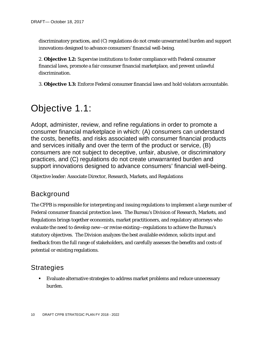discriminatory practices, and (C) regulations do not create unwarranted burden and support innovations designed to advance consumers' financial well-being.

2. **Objective 1.2:** Supervise institutions to foster compliance with Federal consumer financial laws, promote a fair consumer financial marketplace, and prevent unlawful discrimination.

3. **Objective 1.3:** Enforce Federal consumer financial laws and hold violators accountable.

## Objective 1.1:

Adopt, administer, review, and refine regulations in order to promote a consumer financial marketplace in which: (A) consumers can understand the costs, benefits, and risks associated with consumer financial products and services initially and over the term of the product or service, (B) consumers are not subject to deceptive, unfair, abusive, or discriminatory practices, and (C) regulations do not create unwarranted burden and support innovations designed to advance consumers' financial well-being.

Objective leader: Associate Director, Research, Markets, and Regulations

### Background

The CFPB is responsible for interpreting and issuing regulations to implement a large number of Federal consumer financial protection laws. The Bureau's Division of Research, Markets, and Regulations brings together economists, market practitioners, and regulatory attorneys who evaluate the need to develop new—or revise existing—regulations to achieve the Bureau's statutory objectives. The Division analyzes the best available evidence, solicits input and feedback from the full range of stakeholders, and carefully assesses the benefits and costs of potential or existing regulations.

### **Strategies**

 Evaluate alternative strategies to address market problems and reduce unnecessary burden.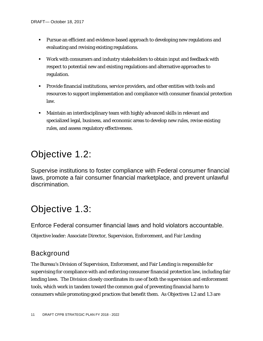- Pursue an efficient and evidence-based approach to developing new regulations and evaluating and revising existing regulations.
- Work with consumers and industry stakeholders to obtain input and feedback with respect to potential new and existing regulations and alternative approaches to regulation.
- Provide financial institutions, service providers, and other entities with tools and resources to support implementation and compliance with consumer financial protection law.
- Maintain an interdisciplinary team with highly advanced skills in relevant and specialized legal, business, and economic areas to develop new rules, revise existing rules, and assess regulatory effectiveness.

### Objective 1.2:

Supervise institutions to foster compliance with Federal consumer financial laws, promote a fair consumer financial marketplace, and prevent unlawful discrimination.

## Objective 1.3:

Enforce Federal consumer financial laws and hold violators accountable.

Objective leader: Associate Director, Supervision, Enforcement, and Fair Lending

### **Background**

The Bureau's Division of Supervision, Enforcement, and Fair Lending is responsible for supervising for compliance with and enforcing consumer financial protection law, including fair lending laws. The Division closely coordinates its use of both the supervision and enforcement tools, which work in tandem toward the common goal of preventing financial harm to consumers while promoting good practices that benefit them. As Objectives 1.2 and 1.3 are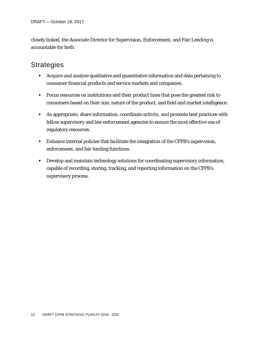closely linked, the Associate Director for Supervision, Enforcement, and Fair Lending is accountable for both.

- Acquire and analyze qualitative and quantitative information and data pertaining to consumer financial products and service markets and companies.
- **Focus resources on institutions and their product lines that pose the greatest risk to** consumers based on their size, nature of the product, and field and market intelligence.
- As appropriate, share information, coordinate activity, and promote best practices with fellow supervisory and law enforcement agencies to ensure the most effective use of regulatory resources.
- Enhance internal policies that facilitate the integration of the CFPB's supervision, enforcement, and fair lending functions.
- Develop and maintain technology solutions for coordinating supervisory information, capable of recording, storing, tracking, and reporting information on the CFPB's supervisory process.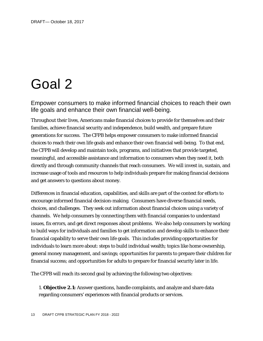## Goal 2

Empower consumers to make informed financial choices to reach their own life goals and enhance their own financial well-being.

Throughout their lives, Americans make financial choices to provide for themselves and their families, achieve financial security and independence, build wealth, and prepare future generations for success. The CFPB helps empower consumers to make informed financial choices to reach their own life goals and enhance their own financial well-being. To that end, the CFPB will develop and maintain tools, programs, and initiatives that provide targeted, meaningful, and accessible assistance and information to consumers when they need it, both directly and through community channels that reach consumers. We will invest in, sustain, and increase usage of tools and resources to help individuals prepare for making financial decisions and get answers to questions about money.

Differences in financial education, capabilities, and skills are part of the context for efforts to encourage informed financial decision-making. Consumers have diverse financial needs, choices, and challenges. They seek out information about financial choices using a variety of channels. We help consumers by connecting them with financial companies to understand issues, fix errors, and get direct responses about problems. We also help consumers by working to build ways for individuals and families to get information and develop skills to enhance their financial capability to serve their own life goals. This includes providing opportunities for individuals to learn more about: steps to build individual wealth; topics like home ownership, general money management, and savings; opportunities for parents to prepare their children for financial success; and opportunities for adults to prepare for financial security later in life.

The CFPB will reach its second goal by achieving the following two objectives:

1. **Objective 2.1:** Answer questions, handle complaints, and analyze and share data regarding consumers' experiences with financial products or services.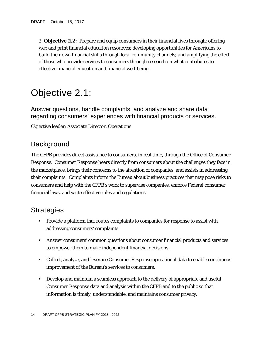2. **Objective 2.2:** Prepare and equip consumers in their financial lives through: offering web and print financial education resources; developing opportunities for Americans to build their own financial skills through local community channels; and amplifying the effect of those who provide services to consumers through research on what contributes to effective financial education and financial well-being.

### Objective 2.1:

Answer questions, handle complaints, and analyze and share data regarding consumers' experiences with financial products or services.

Objective leader: Associate Director, Operations

### Background

The CFPB provides direct assistance to consumers, in real time, through the Office of Consumer Response. Consumer Response hears directly from consumers about the challenges they face in the marketplace, brings their concerns to the attention of companies, and assists in addressing their complaints. Complaints inform the Bureau about business practices that may pose risks to consumers and help with the CFPB's work to supervise companies, enforce Federal consumer financial laws, and write effective rules and regulations.

- **Provide a platform that routes complaints to companies for response to assist with** addressing consumers' complaints.
- Answer consumers' common questions about consumer financial products and services to empower them to make independent financial decisions.
- Collect, analyze, and leverage Consumer Response operational data to enable continuous improvement of the Bureau's services to consumers.
- Develop and maintain a seamless approach to the delivery of appropriate and useful Consumer Response data and analysis within the CFPB and to the public so that information is timely, understandable, and maintains consumer privacy.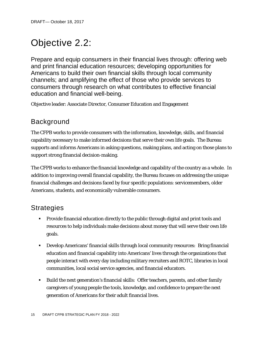## Objective 2.2:

Prepare and equip consumers in their financial lives through: offering web and print financial education resources; developing opportunities for Americans to build their own financial skills through local community channels; and amplifying the effect of those who provide services to consumers through research on what contributes to effective financial education and financial well-being.

Objective leader: Associate Director, Consumer Education and Engagement

### Background

The CFPB works to provide consumers with the information, knowledge, skills, and financial capability necessary to make informed decisions that serve their own life goals. The Bureau supports and informs Americans in asking questions, making plans, and acting on those plans to support strong financial decision-making.

The CFPB works to enhance the financial knowledge and capability of the country as a whole. In addition to improving overall financial capability, the Bureau focuses on addressing the unique financial challenges and decisions faced by four specific populations: servicemembers, older Americans, students, and economically vulnerable consumers.

- **Provide financial education directly to the public through digital and print tools and** resources to help individuals make decisions about money that will serve their own life goals.
- Develop Americans' financial skills through local community resources: Bring financial education and financial capability into Americans' lives through the organizations that people interact with every day including military recruiters and ROTC, libraries in local communities, local social service agencies, and financial educators.
- Build the next generation's financial skills: Offer teachers, parents, and other family caregivers of young people the tools, knowledge, and confidence to prepare the next generation of Americans for their adult financial lives.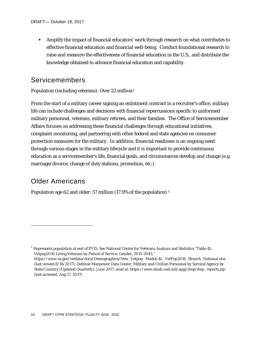Amplify the impact of financial educators' work through research on what contributes to effective financial education and financial well-being. Conduct foundational research to raise and measure the effectiveness of financial education in the U.S., and distribute the knowledge obtained to advance financial education and capability.

### Servicemembers

Population (including veterans): Over 22 million[2](#page-16-0)

From the start of a military career signing an enlistment contract in a recruiter's office, military life can include challenges and decisions with financial repercussions specific to uniformed military personnel, veterans, military retirees, and their families. The Office of Servicemember Affairs focuses on addressing these financial challenges through educational initiatives, complaint monitoring, and partnering with other federal and state agencies on consumer protection measures for the military. In addition, financial readiness is an ongoing need through various stages in the military lifecycle and it is important to provide continuous education as a servicemember's life, financial goals, and circumstances develop and change (e.g. marriage/divorce, change of duty stations, promotion, etc.).

#### Older Americans

1

<span id="page-16-1"></span>Population age 62 and older: 57 million (17.9% of the population) [3](#page-16-1)

<span id="page-16-0"></span><sup>&</sup>lt;sup>2</sup> Represents population at end of FY15; See National Center for Veterans Analysis and Statistics "Table 4L: Vetpop2016 Living Veterans by Period of Service, Gender, 2015-2045,"

https://www.va.gov/vetdata/docs/Demographics/New\_Vetpop\_Model/4L\_VetPop2016\_Branch\_National.xlsx (last viewed 8/16/2017); Defense Manpower Data Center, Military and Civilian Personnel by Service/Agency by State/Country (Updated Quarterly), June 2017, avail at: https://www.dmdc.osd.mil/appj/dwp/dwp\_reports.jsp (last accessed, Aug 17, 2017)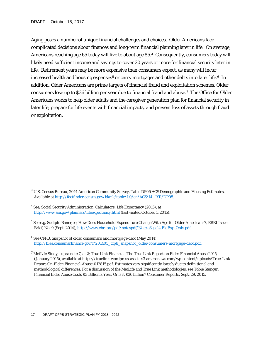1

Aging poses a number of unique financial challenges and choices. Older Americans face complicated decisions about finances and long-term financial planning later in life. On average, Americans reaching age 65 today will live to about age 85.[4](#page-17-0) Consequently, consumers today will likely need sufficient income and savings to cover 20 years or more for financial security later in life. Retirement years may be more expensive than consumers expect, as many will incur increased health and housing expenses<sup>[5](#page-17-1)</sup> or carry mortgages and other debts into later life.<sup>6</sup> In addition, Older Americans are prime targets of financial fraud and exploitation schemes. Older consumers lose up to \$36 billion per year due to financial fraud and abuse.[7](#page-17-3) The Office for Older Americans works to help older adults and the caregiver generation plan for financial security in later life, prepare for life events with financial impacts, and prevent loss of assets through fraud or exploitation.

<sup>3</sup> U.S. Census Bureau, 2014 American Community Survey, Table DP05 ACS Demographic and Housing Estimates. Available at [http://factfinder.census.gov/bkmk/table/1.0/en/ACS/14\\_1YR/DP05.](http://factfinder.census.gov/bkmk/table/1.0/en/ACS/14_1YR/DP05)

<span id="page-17-0"></span><sup>4</sup> See, Social Security Administration, Calculators: Life Expectancy (2015), at <http://www.ssa.gov/planners/lifeexpectancy.html> (last visited October 1, 2015).

<span id="page-17-1"></span><sup>5</sup> See e.g. Sudipto Banerjee, How Does Household Expenditure Change With Age for *Older Americans?*, EBRI Issue Brief, No. 9 (Sept. 2014), [http://www.ebri.org/pdf/notespdf/Notes.Sept14.EldExp-Only.pdf.](http://www.ebri.org/pdf/notespdf/Notes.Sept14.EldExp-Only.pdf)

<span id="page-17-2"></span><sup>6</sup> See CFPB, *Snapshot of older consumers and mortgage debt* (May 2014), [http://files.consumerfinance.gov/f/201405\\_cfpb\\_snapshot\\_older-consumers-mortgage-debt.pdf.](http://files.consumerfinance.gov/f/201405_cfpb_snapshot_older-consumers-mortgage-debt.pdf)

<span id="page-17-3"></span><sup>7</sup> MetLife Study, supra note 7, at 2; True Link Financial, The True Link Report on Elder Financial Abuse 2015, (January 2015), available at https://truelink-wordpress-assets.s3.amazonaws.com/wp-content/uploads/True-Link-Report-On-Elder-Financial-Abuse-012815.pdf. Estimates vary significantly largely due to definitional and methodological differences. For a discussion of the MetLife and True Link methodologies, see Tobie Stanger, Financial Elder Abuse Costs \$3 Billion a Year. Or is it \$36 billion? Consumer Reports, Sept. 29, 2015.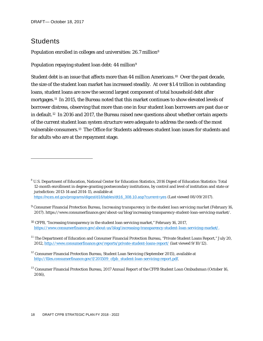### **Students**

1

Population enrolled in colleges and universities: 26.7 million<sup>[8](#page-18-0)</sup>

Population repaying student loan debt: 44 million<sup>[9](#page-18-1)</sup>

Student debt is an issue that affects more than 44 million Americans.<sup>[10](#page-18-2)</sup> Over the past decade, the size of the student loan market has increased steadily. At over \$1.4 trillion in outstanding loans, student loans are now the second largest component of total household debt after mortgages.[11](#page-18-3) In 2015, the Bureau noted that this market continues to show elevated levels of borrower distress, observing that more than one in four student loan borrowers are past due or in default.[12](#page-18-4) In 2016 and 2017, the Bureau raised new questions about whether certain aspects of the current student loan system structure were adequate to address the needs of the most vulnerable consumers.[13](#page-18-5) The Office for Students addresses student loan issues for students and for adults who are at the repayment stage.

<span id="page-18-0"></span><sup>8</sup> U.S. Department of Education, National Center for Education Statistics, 2016 Digest of Education Statistics: Total 12-month enrollment in degree-granting postsecondary institutions, by control and level of institution and state or jurisdiction: 2013-14 and 2014-15, available at [https://nces.ed.gov/programs/digest/d16/tables/dt16\\_308.10.asp?current=yes](https://nces.ed.gov/programs/digest/d16/tables/dt16_308.10.asp?current=yes) (Last viewed 08/09/2017).

<span id="page-18-1"></span><sup>9</sup> Consumer Financial Protection Bureau, *Increasing transparency in the student loan servicing market* (February 16, 2017). https://www.consumerfinance.gov/about-us/blog/increasing-transparency-student-loan-servicing-market/.

<span id="page-18-2"></span><sup>10</sup> CFPB, "Increasing transparency in the student loan servicing market," February 16, 2017, [https://www.consumerfinance.gov/about-us/blog/increasing-transparency-student-loan-servicing-market/.](https://www.consumerfinance.gov/about-us/blog/increasing-transparency-student-loan-servicing-market/)

<span id="page-18-3"></span><sup>&</sup>lt;sup>11</sup> The Department of Education and Consumer Financial Protection Bureau, "Private Student Loans Report," July 20, 2012[, http://www.consumerfinance.gov/reports/private-student-loans-report/](http://www.consumerfinance.gov/reports/private-student-loans-report/) (last viewed 9/10/12).

<span id="page-18-4"></span><sup>&</sup>lt;sup>12</sup> Consumer Financial Protection Bureau, Student Loan Servicing (September 2015), available at [http://files.consumerfinance.gov/f/201509\\_cfpb\\_student-loan-servicing-report.pdf.](http://files.consumerfinance.gov/f/201509_cfpb_student-loan-servicing-report.pdf)

<span id="page-18-5"></span><sup>13</sup> Consumer Financial Protection Bureau, *2017 Annual Report of the CFPB Student Loan Ombudsman* (October 16, 2016),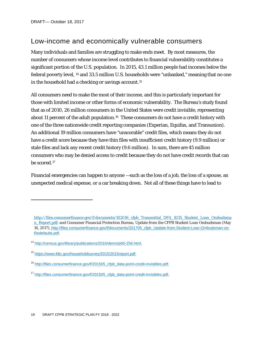1

### Low-income and economically vulnerable consumers

Many individuals and families are struggling to make ends meet. By most measures, the number of consumers whose income level contributes to financial vulnerability constitutes a significant portion of the U.S. population. In 2015, 43.1 million people had incomes below the federal poverty level, [14](#page-19-0) and 33.5 million U.S. households were "unbanked," meaning that no one in the household had a checking or savings account.[15](#page-19-1)

All consumers need to make the most of their income, and this is particularly important for those with limited income or other forms of economic vulnerability. The Bureau's study found that as of 2010, 26 million consumers in the United States were credit invisible, representing about 11 percent of the adult population.<sup>[16](#page-19-2)</sup> These consumers do not have a credit history with one of the three nationwide credit reporting companies (Experian, Equifax, and Transunion). An additional 19 million consumers have "unscorable" credit files, which means they do not have a credit score because they have thin files with insufficient credit history (9.9 million) or stale files and lack any recent credit history (9.6 million). In sum, there are 45 million consumers who may be denied access to credit because they do not have credit records that can be scored[.17](#page-19-3)

Financial emergencies can happen to anyone —such as the loss of a job, the loss of a spouse, an unexpected medical expense, or a car breaking down. Not all of these things have to lead to

[http://files.consumerfinance.gov/f/documents/102016\\_cfpb\\_Transmittal\\_DFA\\_1035\\_Student\\_Loan\\_Ombudsma](http://files.consumerfinance.gov/f/documents/102016_cfpb_Transmittal_DFA_1035_Student_Loan_Ombudsman_Report.pdf) [n\\_Report.pdf;](http://files.consumerfinance.gov/f/documents/102016_cfpb_Transmittal_DFA_1035_Student_Loan_Ombudsman_Report.pdf) and Consumer Financial Protection Bureau, Update from the CFPB Student Loan Ombudsman (May 16, 2017), [http://files.consumerfinance.gov/f/documents/201705\\_cfpb\\_Update-from-Student-Loan-Ombudsman-on-](http://files.consumerfinance.gov/f/documents/201705_cfpb_Update-from-Student-Loan-Ombudsman-on-Redefaults.pdf)[Redefaults.pdf](http://files.consumerfinance.gov/f/documents/201705_cfpb_Update-from-Student-Loan-Ombudsman-on-Redefaults.pdf).

<span id="page-19-0"></span><sup>14</sup> [http://census.gov/library/publications/2016/demo/p60-256.html.](http://census.gov/library/publications/2016/demo/p60-256.html)

<span id="page-19-1"></span><sup>15</sup> [https://www.fdic.gov/householdsurvey/2015/2015report.pdf.](https://www.fdic.gov/householdsurvey/2015/2015report.pdf)

<span id="page-19-2"></span><sup>16</sup> [http://files.consumerfinance.gov/f/201505\\_cfpb\\_data-point-credit-invisibles.pdf.](http://files.consumerfinance.gov/f/201505_cfpb_data-point-credit-invisibles.pdf)

<span id="page-19-3"></span><sup>17</sup> [http://files.consumerfinance.gov/f/201505\\_cfpb\\_data-point-credit-invisibles.pdf.](http://files.consumerfinance.gov/f/201505_cfpb_data-point-credit-invisibles.pdf)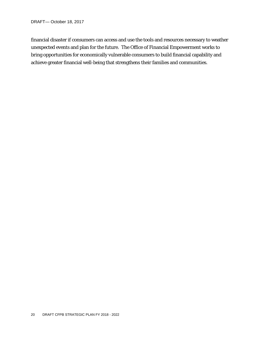financial disaster if consumers can access and use the tools and resources necessary to weather unexpected events and plan for the future. The Office of Financial Empowerment works to bring opportunities for economically vulnerable consumers to build financial capability and achieve greater financial well-being that strengthens their families and communities.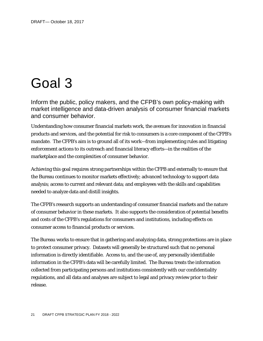## Goal 3

Inform the public, policy makers, and the CFPB's own policy-making with market intelligence and data-driven analysis of consumer financial markets and consumer behavior.

Understanding how consumer financial markets work, the avenues for innovation in financial products and services, and the potential for risk to consumers is a core component of the CFPB's mandate. The CFPB's aim is to ground all of its work—from implementing rules and litigating enforcement actions to its outreach and financial literacy efforts—in the realities of the marketplace and the complexities of consumer behavior.

Achieving this goal requires strong partnerships within the CFPB and externally to ensure that the Bureau continues to monitor markets effectively; advanced technology to support data analysis; access to current and relevant data; and employees with the skills and capabilities needed to analyze data and distill insights.

The CFPB's research supports an understanding of consumer financial markets and the nature of consumer behavior in these markets. It also supports the consideration of potential benefits and costs of the CFPB's regulations for consumers and institutions, including effects on consumer access to financial products or services.

The Bureau works to ensure that in gathering and analyzing data, strong protections are in place to protect consumer privacy. Datasets will generally be structured such that no personal information is directly identifiable. Access to, and the use of, any personally identifiable information in the CFPB's data will be carefully limited. The Bureau treats the information collected from participating persons and institutions consistently with our confidentiality regulations, and all data and analyses are subject to legal and privacy review prior to their release.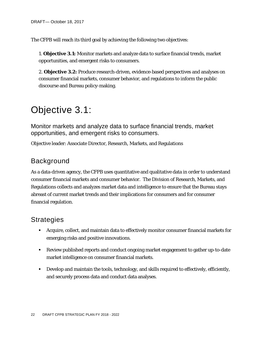The CFPB will reach its third goal by achieving the following two objectives:

1. **Objective 3.1:** Monitor markets and analyze data to surface financial trends, market opportunities, and emergent risks to consumers.

2. **Objective 3.2:** Produce research-driven, evidence-based perspectives and analyses on consumer financial markets, consumer behavior, and regulations to inform the public discourse and Bureau policy-making.

### Objective 3.1:

Monitor markets and analyze data to surface financial trends, market opportunities, and emergent risks to consumers.

Objective leader: Associate Director, Research, Markets, and Regulations

### Background

As a data-driven agency, the CFPB uses quantitative and qualitative data in order to understand consumer financial markets and consumer behavior. The Division of Research, Markets, and Regulations collects and analyzes market data and intelligence to ensure that the Bureau stays abreast of current market trends and their implications for consumers and for consumer financial regulation.

- Acquire, collect, and maintain data to effectively monitor consumer financial markets for emerging risks and positive innovations.
- Review published reports and conduct ongoing market engagement to gather up-to-date market intelligence on consumer financial markets.
- **Develop and maintain the tools, technology, and skills required to effectively, efficiently,** and securely process data and conduct data analyses.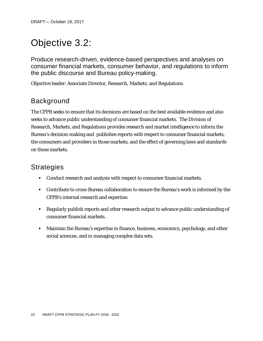## Objective 3.2:

Produce research-driven, evidence-based perspectives and analyses on consumer financial markets, consumer behavior, and regulations to inform the public discourse and Bureau policy-making.

Objective leader: Associate Director, Research, Markets, and Regulations

### Background

The CFPB seeks to ensure that its decisions are based on the best available evidence and also seeks to advance public understanding of consumer financial markets. The Division of Research, Markets, and Regulations provides research and market intelligence to inform the Bureau's decision-making and publishes reports with respect to consumer financial markets, the consumers and providers in those markets, and the effect of governing laws and standards on those markets.

- Conduct research and analysis with respect to consumer financial markets.
- Contribute to cross-Bureau collaboration to ensure the Bureau's work is informed by the CFPB's internal research and expertise.
- Regularly publish reports and other research output to advance public understanding of consumer financial markets.
- Maintain the Bureau's expertise in finance, business, economics, psychology, and other social sciences, and in managing complex data sets.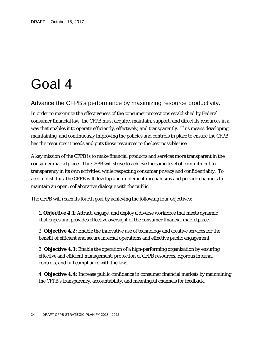## Goal 4

#### Advance the CFPB's performance by maximizing resource productivity.

In order to maximize the effectiveness of the consumer protections established by Federal consumer financial law, the CFPB must acquire, maintain, support, and direct its resources in a way that enables it to operate efficiently, effectively, and transparently. This means developing, maintaining, and continuously improving the policies and controls in place to ensure the CFPB has the resources it needs and puts those resources to the best possible use.

A key mission of the CFPB is to make financial products and services more transparent in the consumer marketplace. The CFPB will strive to achieve the same level of commitment to transparency in its own activities, while respecting consumer privacy and confidentiality. To accomplish this, the CFPB will develop and implement mechanisms and provide channels to maintain an open, collaborative dialogue with the public.

The CFPB will reach its fourth goal by achieving the following four objectives:

1. **Objective 4.1:** Attract, engage, and deploy a diverse workforce that meets dynamic challenges and provides effective oversight of the consumer financial marketplace.

2. **Objective 4.2:** Enable the innovative use of technology and creative services for the benefit of efficient and secure internal operations and effective public engagement.

3. **Objective 4.3:** Enable the operation of a high-performing organization by ensuring effective and efficient management, protection of CFPB resources, rigorous internal controls, and full compliance with the law.

4. **Objective 4.4:** Increase public confidence in consumer financial markets by maintaining the CFPB's transparency, accountability, and meaningful channels for feedback.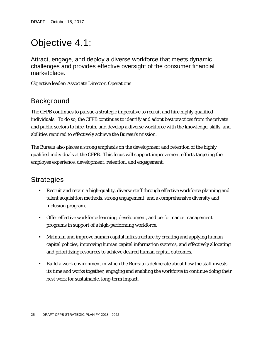## Objective 4.1:

Attract, engage, and deploy a diverse workforce that meets dynamic challenges and provides effective oversight of the consumer financial marketplace.

Objective leader: Associate Director, Operations

### Background

The CFPB continues to pursue a strategic imperative to recruit and hire highly qualified individuals. To do so, the CFPB continues to identify and adopt best practices from the private and public sectors to hire, train, and develop a diverse workforce with the knowledge, skills, and abilities required to effectively achieve the Bureau's mission.

The Bureau also places a strong emphasis on the development and retention of the highly qualified individuals at the CFPB. This focus will support improvement efforts targeting the employee experience, development, retention, and engagement.

- Recruit and retain a high-quality, diverse staff through effective workforce planning and talent acquisition methods, strong engagement, and a comprehensive diversity and inclusion program.
- **Theorry Confermity Construct Property** of the vertex of the vertex of the other of the offer of the offer of the offer of the offer of the offer of the offer of the offer of the offer of the offer of the offer of the of programs in support of a high-performing workforce.
- **Maintain and improve human capital infrastructure by creating and applying human** capital policies, improving human capital information systems, and effectively allocating and prioritizing resources to achieve desired human capital outcomes.
- Build a work environment in which the Bureau is deliberate about how the staff invests its time and works together, engaging and enabling the workforce to continue doing their best work for sustainable, long-term impact.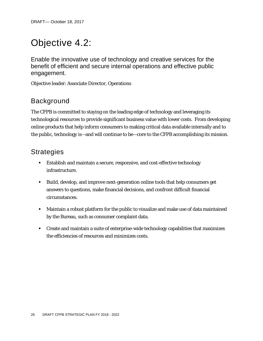## Objective 4.2:

Enable the innovative use of technology and creative services for the benefit of efficient and secure internal operations and effective public engagement.

Objective leader: Associate Director, Operations

### Background

The CFPB is committed to staying on the leading edge of technology and leveraging its technological resources to provide significant business value with lower costs. From developing online products that help inform consumers to making critical data available internally and to the public, technology is—and will continue to be—core to the CFPB accomplishing its mission.

- Establish and maintain a secure, responsive, and cost-effective technology infrastructure.
- Build, develop, and improve next-generation online tools that help consumers get answers to questions, make financial decisions, and confront difficult financial circumstances.
- Maintain a robust platform for the public to visualize and make use of data maintained by the Bureau, such as consumer complaint data.
- Create and maintain a suite of enterprise-wide technology capabilities that maximizes the efficiencies of resources and minimizes costs.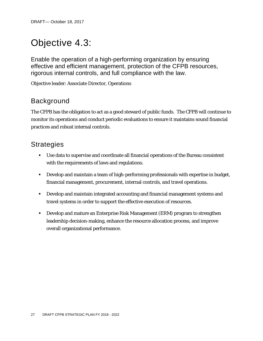## Objective 4.3:

Enable the operation of a high-performing organization by ensuring effective and efficient management, protection of the CFPB resources, rigorous internal controls, and full compliance with the law.

Objective leader: Associate Director, Operations

### Background

The CFPB has the obligation to act as a good steward of public funds. The CFPB will continue to monitor its operations and conduct periodic evaluations to ensure it maintains sound financial practices and robust internal controls.

- Use data to supervise and coordinate all financial operations of the Bureau consistent with the requirements of laws and regulations.
- Develop and maintain a team of high-performing professionals with expertise in budget, financial management, procurement, internal controls, and travel operations.
- Develop and maintain integrated accounting and financial management systems and travel systems in order to support the effective execution of resources.
- Develop and mature an Enterprise Risk Management (ERM) program to strengthen leadership decision-making, enhance the resource allocation process, and improve overall organizational performance.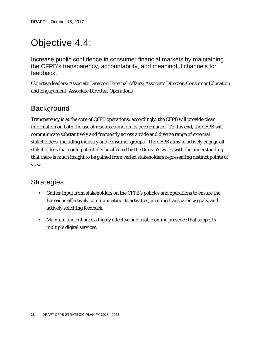## Objective 4.4:

Increase public confidence in consumer financial markets by maintaining the CFPB's transparency, accountability, and meaningful channels for feedback.

Objective leaders: Associate Director, External Affairs; Associate Director, Consumer Education and Engagement; Associate Director, Operations

### Background

Transparency is at the core of CFPB operations; accordingly, the CFPB will provide clear information on both the use of resources and on its performance. To this end, the CFPB will communicate substantively and frequently across a wide and diverse range of external stakeholders, including industry and consumer groups. The CFPB aims to actively engage all stakeholders that could potentially be affected by the Bureau's work, with the understanding that there is much insight to be gained from varied stakeholders representing distinct points of view.

- Gather input from stakeholders on the CFPB's policies and operations to ensure the Bureau is effectively communicating its activities, meeting transparency goals, and actively soliciting feedback.
- Maintain and enhance a highly effective and usable online presence that supports multiple digital services.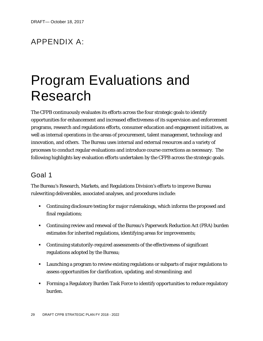### APPENDIX A:

## Program Evaluations and Research

The CFPB continuously evaluates its efforts across the four strategic goals to identify opportunities for enhancement and increased effectiveness of its supervision and enforcement programs, research and regulations efforts, consumer education and engagement initiatives, as well as internal operations in the areas of procurement, talent management, technology and innovation, and others. The Bureau uses internal and external resources and a variety of processes to conduct regular evaluations and introduce course corrections as necessary. The following highlights key evaluation efforts undertaken by the CFPB across the strategic goals.

### Goal 1

The Bureau's Research, Markets, and Regulations Division's efforts to improve Bureau rulewriting deliverables, associated analyses, and procedures include:

- Continuing disclosure testing for major rulemakings, which informs the proposed and final regulations;
- Continuing review and renewal of the Bureau's Paperwork Reduction Act (PRA) burden estimates for inherited regulations, identifying areas for improvements;
- Continuing statutorily-required assessments of the effectiveness of significant regulations adopted by the Bureau;
- Launching a program to review existing regulations or subparts of major regulations to assess opportunities for clarification, updating, and streamlining; and
- Forming a Regulatory Burden Task Force to identify opportunities to reduce regulatory burden.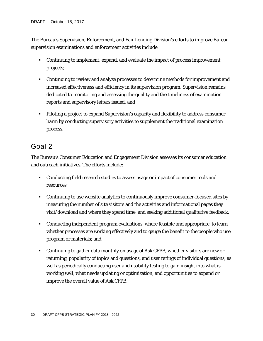The Bureau's Supervision, Enforcement, and Fair Lending Division's efforts to improve Bureau supervision examinations and enforcement activities include:

- Continuing to implement, expand, and evaluate the impact of process improvement projects;
- Continuing to review and analyze processes to determine methods for improvement and increased effectiveness and efficiency in its supervision program. Supervision remains dedicated to monitoring and assessing the quality and the timeliness of examination reports and supervisory letters issued; and
- Piloting a project to expand Supervision's capacity and flexibility to address consumer harm by conducting supervisory activities to supplement the traditional examination process.

### Goal 2

The Bureau's Consumer Education and Engagement Division assesses its consumer education and outreach initiatives. The efforts include:

- Conducting field research studies to assess usage or impact of consumer tools and resources;
- Continuing to use website analytics to continuously improve consumer-focused sites by measuring the number of site visitors and the activities and informational pages they visit/download and where they spend time, and seeking additional qualitative feedback;
- Conducting independent program evaluations, where feasible and appropriate, to learn whether processes are working effectively and to gauge the benefit to the people who use program or materials; and
- Continuing to gather data monthly on usage of Ask CFPB, whether visitors are new or returning, popularity of topics and questions, and user ratings of individual questions, as well as periodically conducting user and usability testing to gain insight into what is working well, what needs updating or optimization, and opportunities to expand or improve the overall value of Ask CFPB.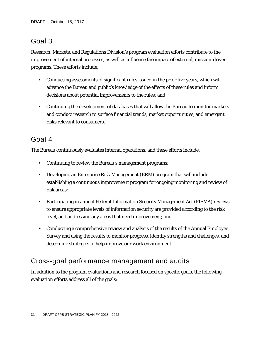### Goal 3

Research, Markets, and Regulations Division's program evaluation efforts contribute to the improvement of internal processes, as well as influence the impact of external, mission-driven programs. These efforts include:

- Conducting assessments of significant rules issued in the prior five years, which will advance the Bureau and public's knowledge of the effects of these rules and inform decisions about potential improvements to the rules; and
- Continuing the development of databases that will allow the Bureau to monitor markets and conduct research to surface financial trends, market opportunities, and emergent risks relevant to consumers.

### Goal 4

The Bureau continuously evaluates internal operations, and these efforts include:

- **Continuing to review the Bureau's management programs;**
- Developing an Enterprise Risk Management (ERM) program that will include establishing a continuous improvement program for ongoing monitoring and review of risk areas;
- Participating in annual Federal Information Security Management Act (FISMA) reviews to ensure appropriate levels of information security are provided according to the risk level, and addressing any areas that need improvement; and
- Conducting a comprehensive review and analysis of the results of the Annual Employee Survey and using the results to monitor progress, identify strengths and challenges, and determine strategies to help improve our work environment.

### Cross-goal performance management and audits

In addition to the program evaluations and research focused on specific goals, the following evaluation efforts address all of the goals: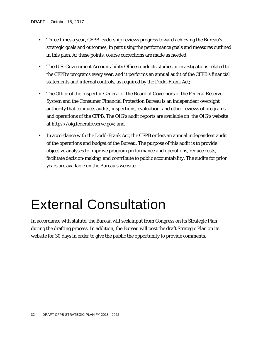- Three times a year, CFPB leadership reviews progress toward achieving the Bureau's strategic goals and outcomes, in part using the performance goals and measures outlined in this plan. At these points, course corrections are made as needed;
- The U.S. Government Accountability Office conducts studies or investigations related to the CFPB's programs every year, and it performs an annual audit of the CFPB's financial statements and internal controls, as required by the Dodd-Frank Act;
- The Office of the Inspector General of the Board of Governors of the Federal Reserve System and the Consumer Financial Protection Bureau is an independent oversight authority that conducts audits, inspections, evaluation, and other reviews of programs and operations of the CFPB. The OIG's audit reports are available on the OIG's website at https://oig.federalreserve.gov; and
- In accordance with the Dodd-Frank Act, the CFPB orders an annual independent audit of the operations and budget of the Bureau. The purpose of this audit is to provide objective analyses to improve program performance and operations, reduce costs, facilitate decision-making, and contribute to public accountability. The audits for prior years are available on the Bureau's website.

## External Consultation

In accordance with statute, the Bureau will seek input from Congress on its Strategic Plan during the drafting process. In addition, the Bureau will post the draft Strategic Plan on its website for 30 days in order to give the public the opportunity to provide comments.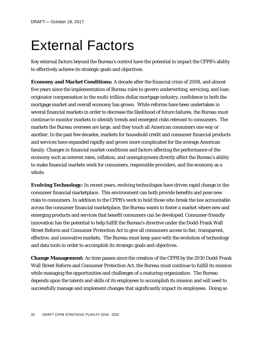## External Factors

Key external factors beyond the Bureau's control have the potential to impact the CFPB's ability to effectively achieve its strategic goals and objectives.

**Economy and Market Conditions:** A decade after the financial crisis of 2008, and almost five years since the implementation of Bureau rules to govern underwriting, servicing, and loan originator compensation in the multi-trillion-dollar mortgage industry, confidence in both the mortgage market and overall economy has grown. While reforms have been undertaken in several financial markets in order to decrease the likelihood of future failures, the Bureau must continue to monitor markets to identify trends and emergent risks relevant to consumers. The markets the Bureau oversees are large, and they touch all American consumers one way or another. In the past few decades, markets for household credit and consumer financial products and services have expanded rapidly and grown more complicated for the average American family. Changes in financial market conditions and factors affecting the performance of the economy such as interest rates, inflation, and unemployment directly affect the Bureau's ability to make financial markets work for consumers, responsible providers, and the economy as a whole.

**Evolving Technology:** In recent years, evolving technologies have driven rapid change in the consumer financial marketplace. This environment can both provide benefits and pose new risks to consumers. In addition to the CFPB's work to hold those who break the law accountable across the consumer financial marketplace, the Bureau wants to foster a market where new and emerging products and services that benefit consumers can be developed. Consumer-friendly innovation has the potential to help fulfill the Bureau's directive under the Dodd-Frank Wall Street Reform and Consumer Protection Act to give all consumers access to fair, transparent, effective, and innovative markets. The Bureau must keep pace with the evolution of technology and data tools in order to accomplish its strategic goals and objectives.

**Change Management:** As time passes since the creation of the CFPB by the 2010 Dodd-Frank Wall Street Reform and Consumer Protection Act, the Bureau must continue to fulfill its mission while managing the opportunities and challenges of a maturing organization. The Bureau depends upon the talents and skills of its employees to accomplish its mission and will need to successfully manage and implement changes that significantly impact its employees. Doing so